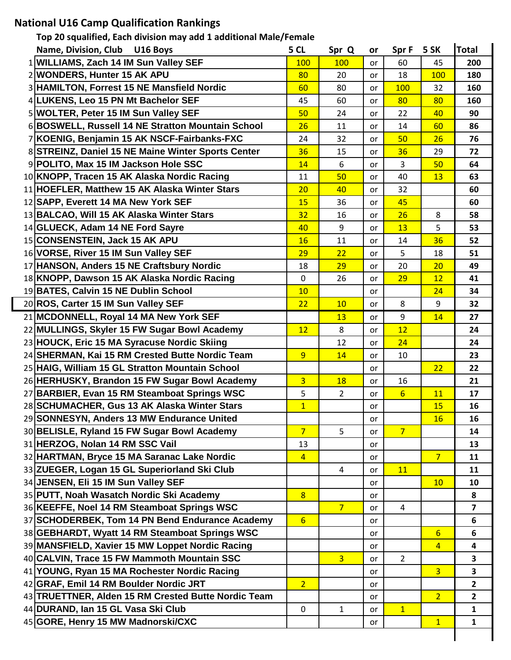## **National U16 Camp Qualification Rankings**

| Top 20 squalified, Each division may add 1 additional Male/Female |                 |                |           |                 |                  |                         |  |  |
|-------------------------------------------------------------------|-----------------|----------------|-----------|-----------------|------------------|-------------------------|--|--|
| Name, Division, Club<br>U16 Boys                                  | 5 CL            | Spr Q          | or        | Spr F           | 5 SK             | <b>Total</b>            |  |  |
| 1 WILLIAMS, Zach 14 IM Sun Valley SEF                             | 100             | 100            | <b>or</b> | 60              | 45               | 200                     |  |  |
| 2 WONDERS, Hunter 15 AK APU                                       | 80              | 20             | or        | 18              | 100              | 180                     |  |  |
| 3 HAMILTON, Forrest 15 NE Mansfield Nordic                        | 60              | 80             | or        | 100             | 32               | 160                     |  |  |
| 4 LUKENS, Leo 15 PN Mt Bachelor SEF                               | 45              | 60             | or        | 80              | 80               | 160                     |  |  |
| 5 WOLTER, Peter 15 IM Sun Valley SEF                              | 50              | 24             | or        | 22              | 40               | 90                      |  |  |
| 6 BOSWELL, Russell 14 NE Stratton Mountain School                 | 26              | 11             | or        | 14              | 60               | 86                      |  |  |
| 7 KOENIG, Benjamin 15 AK NSCF-Fairbanks-FXC                       | 24              | 32             | or        | 50              | 26               | 76                      |  |  |
| 8 STREINZ, Daniel 15 NE Maine Winter Sports Center                | 36              | 15             | or        | 36              | 29               | 72                      |  |  |
| 9 POLITO, Max 15 IM Jackson Hole SSC                              | 14              | 6              | or        | 3               | 50               | 64                      |  |  |
| 10 KNOPP, Tracen 15 AK Alaska Nordic Racing                       | 11              | 50             | or        | 40              | 13               | 63                      |  |  |
| 11 HOEFLER, Matthew 15 AK Alaska Winter Stars                     | 20              | 40             | or        | 32              |                  | 60                      |  |  |
| 12 SAPP, Everett 14 MA New York SEF                               | 15              | 36             | or        | 45              |                  | 60                      |  |  |
| 13 BALCAO, Will 15 AK Alaska Winter Stars                         | 32              | 16             | or        | 26              | 8                | 58                      |  |  |
| 14 GLUECK, Adam 14 NE Ford Sayre                                  | 40              | 9              | or        | 13              | 5                | 53                      |  |  |
| 15 CONSENSTEIN, Jack 15 AK APU                                    | 16              | 11             | or        | 14              | 36               | 52                      |  |  |
| 16 VORSE, River 15 IM Sun Valley SEF                              | 29              | 22             | or        | 5               | 18               | 51                      |  |  |
| 17 HANSON, Anders 15 NE Craftsbury Nordic                         | 18              | 29             | or        | 20              | 20               | 49                      |  |  |
| 18 KNOPP, Dawson 15 AK Alaska Nordic Racing                       | $\mathbf 0$     | 26             | or        | 29              | 12               | 41                      |  |  |
| 19 BATES, Calvin 15 NE Dublin School                              | 10              |                | or        |                 | 24               | 34                      |  |  |
| 20 ROS, Carter 15 IM Sun Valley SEF                               | 22              | 10             | or        | 8               | 9                | 32                      |  |  |
| 21 MCDONNELL, Royal 14 MA New York SEF                            |                 | 13             | or        | 9               | 14               | 27                      |  |  |
| 22 MULLINGS, Skyler 15 FW Sugar Bowl Academy                      | 12              | 8              | or        | 12              |                  | 24                      |  |  |
| 23 HOUCK, Eric 15 MA Syracuse Nordic Skiing                       |                 | 12             | or        | 24              |                  | 24                      |  |  |
| 24 SHERMAN, Kai 15 RM Crested Butte Nordic Team                   | 9               | 14             | or        | 10              |                  | 23                      |  |  |
| 25 HAIG, William 15 GL Stratton Mountain School                   |                 |                | or        |                 | 22               | 22                      |  |  |
| 26 HERHUSKY, Brandon 15 FW Sugar Bowl Academy                     | $\overline{3}$  | <b>18</b>      | or        | 16              |                  | 21                      |  |  |
| 27 BARBIER, Evan 15 RM Steamboat Springs WSC                      | 5               | $\overline{2}$ | or        | $6\overline{6}$ | 11               | 17                      |  |  |
| 28 SCHUMACHER, Gus 13 AK Alaska Winter Stars                      | 1               |                | or        |                 | <u>15</u>        | 16                      |  |  |
| 29 SONNESYN, Anders 13 MW Endurance United                        |                 |                | or        |                 | 16               | 16                      |  |  |
| 30 BELISLE, Ryland 15 FW Sugar Bowl Academy                       | $7\overline{ }$ | 5              | or        | $7\overline{}$  |                  | 14                      |  |  |
| 31 HERZOG, Nolan 14 RM SSC Vail                                   | 13              |                | <b>or</b> |                 |                  | 13                      |  |  |
| 32 HARTMAN, Bryce 15 MA Saranac Lake Nordic                       | $\overline{4}$  |                | or        |                 | 7 <sup>2</sup>   | 11                      |  |  |
| 33 ZUEGER, Logan 15 GL Superiorland Ski Club                      |                 | $\overline{4}$ | or        | 11              |                  | 11                      |  |  |
| 34 JENSEN, Eli 15 IM Sun Valley SEF                               |                 |                | <b>or</b> |                 | 10               | 10                      |  |  |
| 35 PUTT, Noah Wasatch Nordic Ski Academy                          | $\overline{8}$  |                | or        |                 |                  | 8                       |  |  |
| 36 KEEFFE, Noel 14 RM Steamboat Springs WSC                       |                 | 7 <sup>7</sup> | or        | $\overline{4}$  |                  | $\overline{\mathbf{z}}$ |  |  |
| 37 SCHODERBEK, Tom 14 PN Bend Endurance Academy                   | $6 \overline{}$ |                | or        |                 |                  | 6                       |  |  |
| 38 GEBHARDT, Wyatt 14 RM Steamboat Springs WSC                    |                 |                | or        |                 | $6 \overline{6}$ | 6                       |  |  |
| 39 MANSFIELD, Xavier 15 MW Loppet Nordic Racing                   |                 |                | or        |                 | $\overline{4}$   | 4                       |  |  |
| 40 CALVIN, Trace 15 FW Mammoth Mountain SSC                       |                 | $\overline{3}$ | or        | $\overline{2}$  |                  | 3                       |  |  |
| 41 YOUNG, Ryan 15 MA Rochester Nordic Racing                      |                 |                | or        |                 | $\overline{3}$   | 3                       |  |  |
| 42 GRAF, Emil 14 RM Boulder Nordic JRT                            | 2 <sup>1</sup>  |                | or        |                 |                  | $\overline{2}$          |  |  |
| 43 TRUETTNER, Alden 15 RM Crested Butte Nordic Team               |                 |                | or        |                 | 2 <sub>1</sub>   | $\overline{2}$          |  |  |
| 44 DURAND, Ian 15 GL Vasa Ski Club                                | $\mathbf 0$     | $\mathbf{1}$   | <b>or</b> | $\overline{1}$  |                  | $\mathbf{1}$            |  |  |
| 45 GORE, Henry 15 MW Madnorski/CXC                                |                 |                | or        |                 | 1                | $\mathbf{1}$            |  |  |